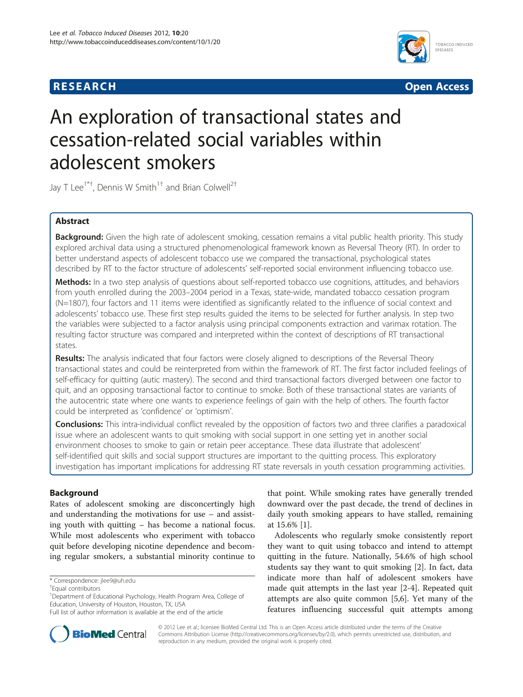



# An exploration of transactional states and cessation-related social variables within adolescent smokers

Jay T Lee<sup>1\*†</sup>, Dennis W Smith<sup>1†</sup> and Brian Colwell<sup>2†</sup>

# Abstract

Background: Given the high rate of adolescent smoking, cessation remains a vital public health priority. This study explored archival data using a structured phenomenological framework known as Reversal Theory (RT). In order to better understand aspects of adolescent tobacco use we compared the transactional, psychological states described by RT to the factor structure of adolescents' self-reported social environment influencing tobacco use.

Methods: In a two step analysis of questions about self-reported tobacco use cognitions, attitudes, and behaviors from youth enrolled during the 2003–2004 period in a Texas, state-wide, mandated tobacco cessation program (N=1807), four factors and 11 items were identified as significantly related to the influence of social context and adolescents' tobacco use. These first step results guided the items to be selected for further analysis. In step two the variables were subjected to a factor analysis using principal components extraction and varimax rotation. The resulting factor structure was compared and interpreted within the context of descriptions of RT transactional states.

Results: The analysis indicated that four factors were closely aligned to descriptions of the Reversal Theory transactional states and could be reinterpreted from within the framework of RT. The first factor included feelings of self-efficacy for quitting (autic mastery). The second and third transactional factors diverged between one factor to quit, and an opposing transactional factor to continue to smoke. Both of these transactional states are variants of the autocentric state where one wants to experience feelings of gain with the help of others. The fourth factor could be interpreted as 'confidence' or 'optimism'.

Conclusions: This intra-individual conflict revealed by the opposition of factors two and three clarifies a paradoxical issue where an adolescent wants to quit smoking with social support in one setting yet in another social environment chooses to smoke to gain or retain peer acceptance. These data illustrate that adolescent' self-identified quit skills and social support structures are important to the quitting process. This exploratory investigation has important implications for addressing RT state reversals in youth cessation programming activities.

# Background

Rates of adolescent smoking are disconcertingly high and understanding the motivations for use – and assisting youth with quitting – has become a national focus. While most adolescents who experiment with tobacco quit before developing nicotine dependence and becoming regular smokers, a substantial minority continue to

\* Correspondence: [jlee9@uh.edu](mailto:jlee9@uh.edu) †

that point. While smoking rates have generally trended downward over the past decade, the trend of declines in daily youth smoking appears to have stalled, remaining at 15.6% [\[1\]](#page-7-0).

Adolescents who regularly smoke consistently report they want to quit using tobacco and intend to attempt quitting in the future. Nationally, 54.6% of high school students say they want to quit smoking [\[2](#page-7-0)]. In fact, data indicate more than half of adolescent smokers have made quit attempts in the last year [\[2-4\]](#page-7-0). Repeated quit attempts are also quite common [[5,6\]](#page-7-0). Yet many of the features influencing successful quit attempts among



© 2012 Lee et al.; licensee BioMed Central Ltd. This is an Open Access article distributed under the terms of the Creative Commons Attribution License [\(http://creativecommons.org/licenses/by/2.0\)](http://creativecommons.org/licenses/by/2.0), which permits unrestricted use, distribution, and reproduction in any medium, provided the original work is properly cited.

Equal contributors

<sup>&</sup>lt;sup>1</sup>Department of Educational Psychology, Health Program Area, College of Education, University of Houston, Houston, TX, USA

Full list of author information is available at the end of the article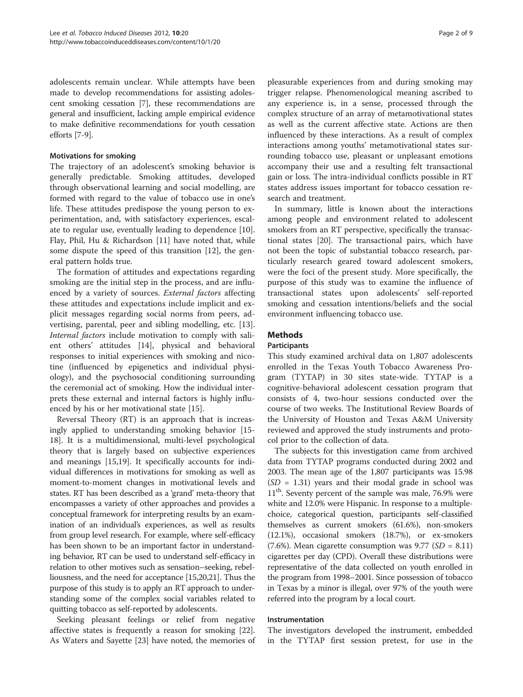adolescents remain unclear. While attempts have been made to develop recommendations for assisting adolescent smoking cessation [\[7](#page-7-0)], these recommendations are general and insufficient, lacking ample empirical evidence to make definitive recommendations for youth cessation efforts [[7-9\]](#page-7-0).

## Motivations for smoking

The trajectory of an adolescent's smoking behavior is generally predictable. Smoking attitudes, developed through observational learning and social modelling, are formed with regard to the value of tobacco use in one's life. These attitudes predispose the young person to experimentation, and, with satisfactory experiences, escalate to regular use, eventually leading to dependence [\[10](#page-7-0)]. Flay, Phil, Hu & Richardson [[11\]](#page-7-0) have noted that, while some dispute the speed of this transition [[12](#page-7-0)], the general pattern holds true.

The formation of attitudes and expectations regarding smoking are the initial step in the process, and are influenced by a variety of sources. External factors affecting these attitudes and expectations include implicit and explicit messages regarding social norms from peers, advertising, parental, peer and sibling modelling, etc. [\[13](#page-7-0)]. Internal factors include motivation to comply with salient others' attitudes [\[14](#page-7-0)], physical and behavioral responses to initial experiences with smoking and nicotine (influenced by epigenetics and individual physiology), and the psychosocial conditioning surrounding the ceremonial act of smoking. How the individual interprets these external and internal factors is highly influenced by his or her motivational state [[15\]](#page-7-0).

Reversal Theory (RT) is an approach that is increasingly applied to understanding smoking behavior [\[15-](#page-7-0) [18\]](#page-7-0). It is a multidimensional, multi-level psychological theory that is largely based on subjective experiences and meanings [[15,19\]](#page-7-0). It specifically accounts for individual differences in motivations for smoking as well as moment-to-moment changes in motivational levels and states. RT has been described as a 'grand' meta-theory that encompasses a variety of other approaches and provides a conceptual framework for interpreting results by an examination of an individual's experiences, as well as results from group level research. For example, where self-efficacy has been shown to be an important factor in understanding behavior, RT can be used to understand self-efficacy in relation to other motives such as sensation–seeking, rebelliousness, and the need for acceptance [\[15,20,21](#page-7-0)]. Thus the purpose of this study is to apply an RT approach to understanding some of the complex social variables related to quitting tobacco as self-reported by adolescents.

Seeking pleasant feelings or relief from negative affective states is frequently a reason for smoking [\[22](#page-7-0)]. As Waters and Sayette [[23](#page-7-0)] have noted, the memories of

pleasurable experiences from and during smoking may trigger relapse. Phenomenological meaning ascribed to any experience is, in a sense, processed through the complex structure of an array of metamotivational states as well as the current affective state. Actions are then influenced by these interactions. As a result of complex interactions among youths' metamotivational states surrounding tobacco use, pleasant or unpleasant emotions accompany their use and a resulting felt transactional gain or loss. The intra-individual conflicts possible in RT states address issues important for tobacco cessation research and treatment.

In summary, little is known about the interactions among people and environment related to adolescent smokers from an RT perspective, specifically the transactional states [\[20\]](#page-7-0). The transactional pairs, which have not been the topic of substantial tobacco research, particularly research geared toward adolescent smokers, were the foci of the present study. More specifically, the purpose of this study was to examine the influence of transactional states upon adolescents' self-reported smoking and cessation intentions/beliefs and the social environment influencing tobacco use.

# **Methods**

## **Participants**

This study examined archival data on 1,807 adolescents enrolled in the Texas Youth Tobacco Awareness Program (TYTAP) in 30 sites state-wide. TYTAP is a cognitive-behavioral adolescent cessation program that consists of 4, two-hour sessions conducted over the course of two weeks. The Institutional Review Boards of the University of Houston and Texas A&M University reviewed and approved the study instruments and protocol prior to the collection of data.

The subjects for this investigation came from archived data from TYTAP programs conducted during 2002 and 2003. The mean age of the 1,807 participants was 15.98  $(SD = 1.31)$  years and their modal grade in school was 11<sup>th</sup>. Seventy percent of the sample was male, 76.9% were white and 12.0% were Hispanic. In response to a multiplechoice, categorical question, participants self-classified themselves as current smokers (61.6%), non-smokers (12.1%), occasional smokers (18.7%), or ex-smokers  $(7.6\%)$ . Mean cigarette consumption was 9.77  $(SD = 8.11)$ cigarettes per day (CPD). Overall these distributions were representative of the data collected on youth enrolled in the program from 1998–2001. Since possession of tobacco in Texas by a minor is illegal, over 97% of the youth were referred into the program by a local court.

## Instrumentation

The investigators developed the instrument, embedded in the TYTAP first session pretest, for use in the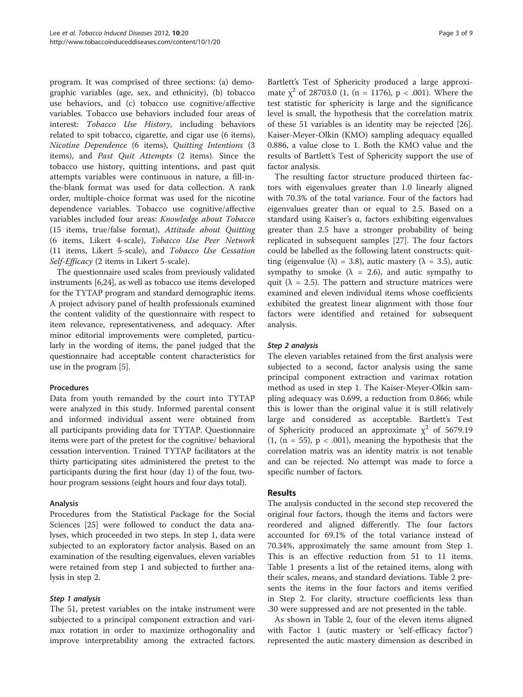program. It was comprised of three sections: (a) demographic variables (age, sex, and ethnicity), (b) tobacco use behaviors, and (c) tobacco use cognitive/affective variables. Tobacco use behaviors included four areas of interest: Tobacco Use History, including behaviors related to spit tobacco, cigarette, and cigar use (6 items), Nicotine Dependence (6 items), Quitting Intentions (3 items), and Past Quit Attempts (2 items). Since the tobacco use history, quitting intentions, and past quit attempts variables were continuous in nature, a fill-inthe-blank format was used for data collection. A rank order, multiple-choice format was used for the nicotine dependence variables. Tobacco use cognitive/affective variables included four areas: Knowledge about Tobacco (15 items, true/false format), Attitude about Quitting (6 items, Likert 4-scale), Tobacco Use Peer Network (11 items, Likert 5-scale), and Tobacco Use Cessation Self-Efficacy (2 items in Likert 5-scale).

The questionnaire used scales from previously validated instruments [[6,24](#page-7-0)], as well as tobacco use items developed for the TYTAP program and standard demographic items. A project advisory panel of health professionals examined the content validity of the questionnaire with respect to item relevance, representativeness, and adequacy. After minor editorial improvements were completed, particularly in the wording of items, the panel judged that the questionnaire had acceptable content characteristics for use in the program [\[5](#page-7-0)].

## Procedures

Data from youth remanded by the court into TYTAP were analyzed in this study. Informed parental consent and informed individual assent were obtained from all participants providing data for TYTAP. Questionnaire items were part of the pretest for the cognitive/ behavioral cessation intervention. Trained TYTAP facilitators at the thirty participating sites administered the pretest to the participants during the first hour (day 1) of the four, twohour program sessions (eight hours and four days total).

## Analysis

Procedures from the Statistical Package for the Social Sciences [\[25](#page-7-0)] were followed to conduct the data analyses, which proceeded in two steps. In step 1, data were subjected to an exploratory factor analysis. Based on an examination of the resulting eigenvalues, eleven variables were retained from step 1 and subjected to further analysis in step 2.

# Step 1 analysis

The 51, pretest variables on the intake instrument were subjected to a principal component extraction and varimax rotation in order to maximize orthogonality and improve interpretability among the extracted factors.

Bartlett's Test of Sphericity produced a large approximate  $\chi^2$  of 28703.0 (1, (n = 1176), p < .001). Where the test statistic for sphericity is large and the significance level is small, the hypothesis that the correlation matrix of these 51 variables is an identity may be rejected [\[26](#page-7-0)]. Kaiser-Meyer-Olkin (KMO) sampling adequacy equalled 0.886, a value close to 1. Both the KMO value and the results of Bartlett's Test of Sphericity support the use of factor analysis.

The resulting factor structure produced thirteen factors with eigenvalues greater than 1.0 linearly aligned with 70.3% of the total variance. Four of the factors had eigenvalues greater than or equal to 2.5. Based on a standard using Kaiser's α, factors exhibiting eigenvalues greater than 2.5 have a stronger probability of being replicated in subsequent samples [[27](#page-7-0)]. The four factors could be labelled as the following latent constructs: quitting (eigenvalue ( $\lambda$ ) = 3.8), autic mastery ( $\lambda$  = 3.5), autic sympathy to smoke ( $\lambda = 2.6$ ), and autic sympathy to quit ( $\lambda = 2.5$ ). The pattern and structure matrices were examined and eleven individual items whose coefficients exhibited the greatest linear alignment with those four factors were identified and retained for subsequent analysis.

## Step 2 analysis

The eleven variables retained from the first analysis were subjected to a second, factor analysis using the same principal component extraction and varimax rotation method as used in step 1. The Kaiser-Meyer-Olkin sampling adequacy was 0.699, a reduction from 0.866; while this is lower than the original value it is still relatively large and considered as acceptable. Bartlett's Test of Sphericity produced an approximate  $\chi^2$  of 5679.19  $(1, (n = 55), p < .001)$ , meaning the hypothesis that the correlation matrix was an identity matrix is not tenable and can be rejected. No attempt was made to force a specific number of factors.

# Results

The analysis conducted in the second step recovered the original four factors, though the items and factors were reordered and aligned differently. The four factors accounted for 69.1% of the total variance instead of 70.34%, approximately the same amount from Step 1. This is an effective reduction from 51 to 11 items. Table [1](#page-3-0) presents a list of the retained items, along with their scales, means, and standard deviations. Table [2](#page-4-0) presents the items in the four factors and items verified in Step 2. For clarity, structure coefficients less than .30 were suppressed and are not presented in the table.

As shown in Table [2,](#page-4-0) four of the eleven items aligned with Factor 1 (autic mastery or 'self-efficacy factor') represented the autic mastery dimension as described in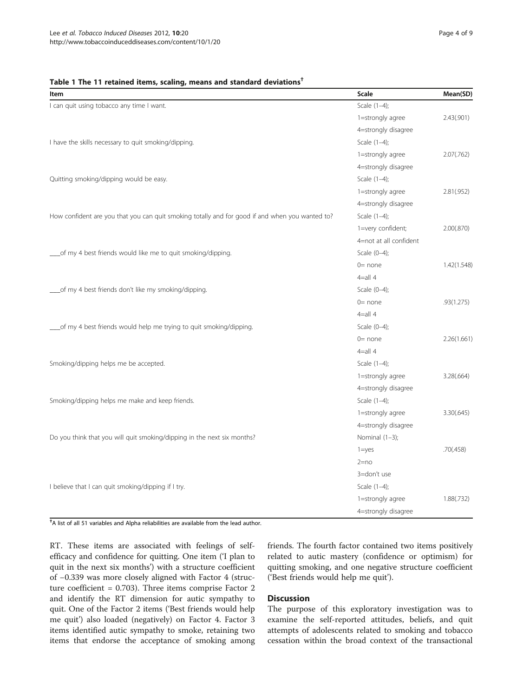#### <span id="page-3-0"></span>Table 1 The 11 retained items, scaling, means and standard deviations†

| Item                                                                                            | Scale                  | Mean(SD)    |
|-------------------------------------------------------------------------------------------------|------------------------|-------------|
| I can quit using tobacco any time I want.                                                       | Scale $(1-4)$ ;        |             |
|                                                                                                 | 1=strongly agree       | 2.43(.901)  |
|                                                                                                 | 4=strongly disagree    |             |
| I have the skills necessary to quit smoking/dipping.                                            | Scale $(1-4)$ ;        |             |
|                                                                                                 | 1=strongly agree       | 2.07(.762)  |
|                                                                                                 | 4=strongly disagree    |             |
| Quitting smoking/dipping would be easy.                                                         | Scale (1-4);           |             |
|                                                                                                 | 1=strongly agree       | 2.81(.952)  |
|                                                                                                 | 4=strongly disagree    |             |
| How confident are you that you can quit smoking totally and for good if and when you wanted to? | Scale (1-4);           |             |
|                                                                                                 | 1=very confident;      | 2.00(.870)  |
|                                                                                                 | 4=not at all confident |             |
| _of my 4 best friends would like me to quit smoking/dipping.                                    | Scale $(0-4)$ ;        |             |
|                                                                                                 | $0=$ none              | 1.42(1.548) |
|                                                                                                 | $4 = all 4$            |             |
| ___ of my 4 best friends don't like my smoking/dipping.                                         | Scale $(0-4)$ ;        |             |
|                                                                                                 | $0=$ none              | .93(1.275)  |
|                                                                                                 | $4=all 4$              |             |
| _of my 4 best friends would help me trying to quit smoking/dipping.                             | Scale $(0-4)$ ;        |             |
|                                                                                                 | $0=$ none              | 2.26(1.661) |
|                                                                                                 | $4=all 4$              |             |
| Smoking/dipping helps me be accepted.                                                           | Scale (1-4);           |             |
|                                                                                                 | 1=strongly agree       | 3.28(.664)  |
|                                                                                                 | 4=strongly disagree    |             |
| Smoking/dipping helps me make and keep friends.                                                 | Scale (1-4);           |             |
|                                                                                                 | 1=strongly agree       | 3.30(.645)  |
|                                                                                                 | 4=strongly disagree    |             |
| Do you think that you will quit smoking/dipping in the next six months?                         | Nominal $(1-3)$ ;      |             |
|                                                                                                 | $1 = yes$              | .70(.458)   |
|                                                                                                 | $2=no$                 |             |
|                                                                                                 | 3=don't use            |             |
| I believe that I can quit smoking/dipping if I try.                                             | Scale (1-4);           |             |
|                                                                                                 | 1=strongly agree       | 1.88(.732)  |
|                                                                                                 | 4=strongly disagree    |             |

<sup>†</sup>A list of all 51 variables and Alpha reliabilities are available from the lead author.

RT. These items are associated with feelings of selfefficacy and confidence for quitting. One item ('I plan to quit in the next six months') with a structure coefficient of −0.339 was more closely aligned with Factor 4 (structure coefficient = 0.703). Three items comprise Factor 2 and identify the RT dimension for autic sympathy to quit. One of the Factor 2 items ('Best friends would help me quit') also loaded (negatively) on Factor 4. Factor 3 items identified autic sympathy to smoke, retaining two items that endorse the acceptance of smoking among friends. The fourth factor contained two items positively related to autic mastery (confidence or optimism) for quitting smoking, and one negative structure coefficient ('Best friends would help me quit').

## **Discussion**

The purpose of this exploratory investigation was to examine the self-reported attitudes, beliefs, and quit attempts of adolescents related to smoking and tobacco cessation within the broad context of the transactional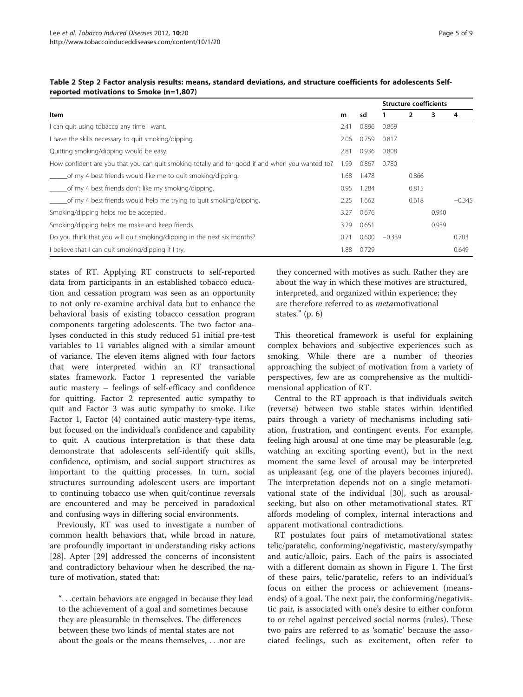|                                                                                                 |      | <b>Structure coefficients</b> |          |                |       |          |
|-------------------------------------------------------------------------------------------------|------|-------------------------------|----------|----------------|-------|----------|
| Item                                                                                            | m    | sd                            |          | $\overline{2}$ | 3     | 4        |
| can quit using tobacco any time I want.                                                         | 2.41 | 0.896                         | 0.869    |                |       |          |
| I have the skills necessary to quit smoking/dipping.                                            | 2.06 | 0.759                         | 0.817    |                |       |          |
| Quitting smoking/dipping would be easy.                                                         | 2.81 | 0.936                         | 0.808    |                |       |          |
| How confident are you that you can quit smoking totally and for good if and when you wanted to? | 1.99 | 0.867                         | 0.780    |                |       |          |
| of my 4 best friends would like me to quit smoking/dipping.                                     | 1.68 | 1.478                         |          | 0.866          |       |          |
| _of my 4 best friends don't like my smoking/dipping.                                            | 0.95 | 1.284                         |          | 0.815          |       |          |
| of my 4 best friends would help me trying to quit smoking/dipping.                              | 2.25 | 1.662                         |          | 0.618          |       | $-0.345$ |
| Smoking/dipping helps me be accepted.                                                           | 3.27 | 0.676                         |          |                | 0.940 |          |
| Smoking/dipping helps me make and keep friends.                                                 | 3.29 | 0.651                         |          |                | 0.939 |          |
| Do you think that you will guit smoking/dipping in the next six months?                         | 0.71 | 0.600                         | $-0.339$ |                |       | 0.703    |
| I believe that I can quit smoking/dipping if I try.                                             | 1.88 | 0.729                         |          |                |       | 0.649    |

<span id="page-4-0"></span>Table 2 Step 2 Factor analysis results: means, standard deviations, and structure coefficients for adolescents Selfreported motivations to Smoke (n=1,807)

states of RT. Applying RT constructs to self-reported data from participants in an established tobacco education and cessation program was seen as an opportunity to not only re-examine archival data but to enhance the behavioral basis of existing tobacco cessation program components targeting adolescents. The two factor analyses conducted in this study reduced 51 initial pre-test variables to 11 variables aligned with a similar amount of variance. The eleven items aligned with four factors that were interpreted within an RT transactional states framework. Factor 1 represented the variable autic mastery – feelings of self-efficacy and confidence for quitting. Factor 2 represented autic sympathy to quit and Factor 3 was autic sympathy to smoke. Like Factor 1, Factor (4) contained autic mastery-type items, but focused on the individual's confidence and capability to quit. A cautious interpretation is that these data demonstrate that adolescents self-identify quit skills, confidence, optimism, and social support structures as important to the quitting processes. In turn, social structures surrounding adolescent users are important to continuing tobacco use when quit/continue reversals are encountered and may be perceived in paradoxical and confusing ways in differing social environments.

Previously, RT was used to investigate a number of common health behaviors that, while broad in nature, are profoundly important in understanding risky actions [[28\]](#page-7-0). Apter [[29\]](#page-7-0) addressed the concerns of inconsistent and contradictory behaviour when he described the nature of motivation, stated that:

"...certain behaviors are engaged in because they lead to the achievement of a goal and sometimes because they are pleasurable in themselves. The differences between these two kinds of mental states are not about the goals or the means themselves, ...nor are

they concerned with motives as such. Rather they are about the way in which these motives are structured, interpreted, and organized within experience; they are therefore referred to as metamotivational states." (p. 6)

This theoretical framework is useful for explaining complex behaviors and subjective experiences such as smoking. While there are a number of theories approaching the subject of motivation from a variety of perspectives, few are as comprehensive as the multidimensional application of RT.

Central to the RT approach is that individuals switch (reverse) between two stable states within identified pairs through a variety of mechanisms including satiation, frustration, and contingent events. For example, feeling high arousal at one time may be pleasurable (e.g. watching an exciting sporting event), but in the next moment the same level of arousal may be interpreted as unpleasant (e.g. one of the players becomes injured). The interpretation depends not on a single metamotivational state of the individual [\[30](#page-7-0)], such as arousalseeking, but also on other metamotivational states. RT affords modeling of complex, internal interactions and apparent motivational contradictions.

RT postulates four pairs of metamotivational states: telic/paratelic, conforming/negativistic, mastery/sympathy and autic/alloic, pairs. Each of the pairs is associated with a different domain as shown in Figure [1.](#page-5-0) The first of these pairs, telic/paratelic, refers to an individual's focus on either the process or achievement (meansends) of a goal. The next pair, the conforming/negativistic pair, is associated with one's desire to either conform to or rebel against perceived social norms (rules). These two pairs are referred to as 'somatic' because the associated feelings, such as excitement, often refer to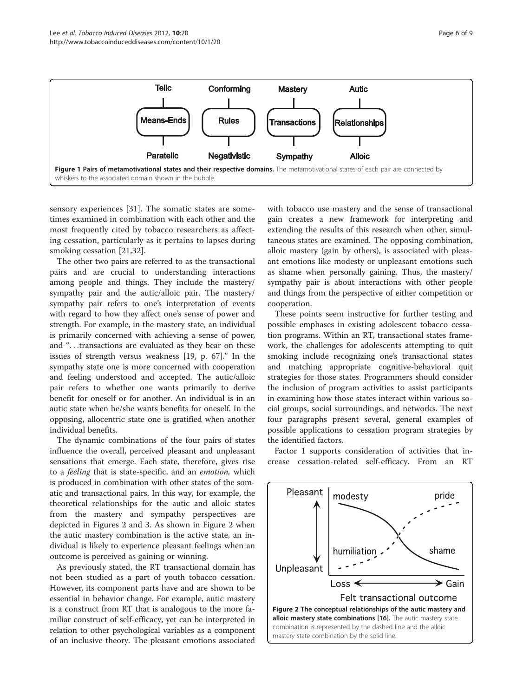<span id="page-5-0"></span>

sensory experiences [[31\]](#page-7-0). The somatic states are sometimes examined in combination with each other and the most frequently cited by tobacco researchers as affecting cessation, particularly as it pertains to lapses during smoking cessation [\[21](#page-7-0),[32\]](#page-8-0).

The other two pairs are referred to as the transactional pairs and are crucial to understanding interactions among people and things. They include the mastery/ sympathy pair and the autic/alloic pair. The mastery/ sympathy pair refers to one's interpretation of events with regard to how they affect one's sense of power and strength. For example, in the mastery state, an individual is primarily concerned with achieving a sense of power, and "...transactions are evaluated as they bear on these issues of strength versus weakness [\[19,](#page-7-0) p. 67]." In the sympathy state one is more concerned with cooperation and feeling understood and accepted. The autic/alloic pair refers to whether one wants primarily to derive benefit for oneself or for another. An individual is in an autic state when he/she wants benefits for oneself. In the opposing, allocentric state one is gratified when another individual benefits.

The dynamic combinations of the four pairs of states influence the overall, perceived pleasant and unpleasant sensations that emerge. Each state, therefore, gives rise to a feeling that is state-specific, and an emotion, which is produced in combination with other states of the somatic and transactional pairs. In this way, for example, the theoretical relationships for the autic and alloic states from the mastery and sympathy perspectives are depicted in Figures 2 and [3](#page-6-0). As shown in Figure 2 when the autic mastery combination is the active state, an individual is likely to experience pleasant feelings when an outcome is perceived as gaining or winning.

As previously stated, the RT transactional domain has not been studied as a part of youth tobacco cessation. However, its component parts have and are shown to be essential in behavior change. For example, autic mastery is a construct from RT that is analogous to the more familiar construct of self-efficacy, yet can be interpreted in relation to other psychological variables as a component of an inclusive theory. The pleasant emotions associated with tobacco use mastery and the sense of transactional gain creates a new framework for interpreting and extending the results of this research when other, simultaneous states are examined. The opposing combination, alloic mastery (gain by others), is associated with pleasant emotions like modesty or unpleasant emotions such as shame when personally gaining. Thus, the mastery/ sympathy pair is about interactions with other people and things from the perspective of either competition or cooperation.

These points seem instructive for further testing and possible emphases in existing adolescent tobacco cessation programs. Within an RT, transactional states framework, the challenges for adolescents attempting to quit smoking include recognizing one's transactional states and matching appropriate cognitive-behavioral quit strategies for those states. Programmers should consider the inclusion of program activities to assist participants in examining how those states interact within various social groups, social surroundings, and networks. The next four paragraphs present several, general examples of possible applications to cessation program strategies by the identified factors.

Factor 1 supports consideration of activities that increase cessation-related self-efficacy. From an RT

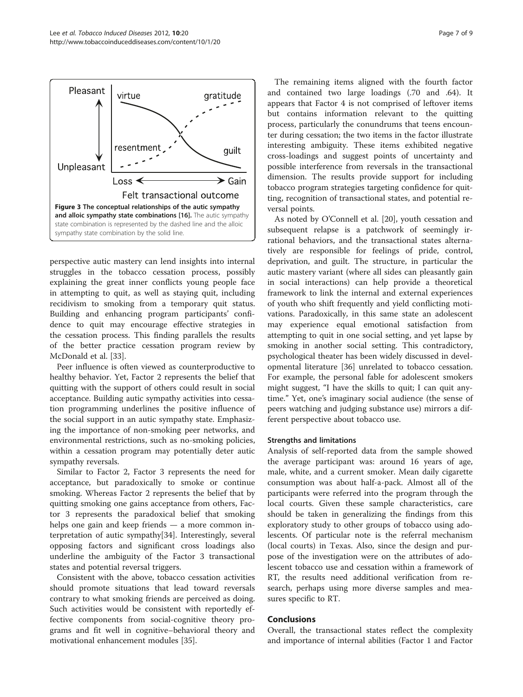<span id="page-6-0"></span>

perspective autic mastery can lend insights into internal struggles in the tobacco cessation process, possibly explaining the great inner conflicts young people face in attempting to quit, as well as staying quit, including recidivism to smoking from a temporary quit status. Building and enhancing program participants' confidence to quit may encourage effective strategies in the cessation process. This finding parallels the results of the better practice cessation program review by McDonald et al. [[33\]](#page-8-0).

Peer influence is often viewed as counterproductive to healthy behavior. Yet, Factor 2 represents the belief that quitting with the support of others could result in social acceptance. Building autic sympathy activities into cessation programming underlines the positive influence of the social support in an autic sympathy state. Emphasizing the importance of non-smoking peer networks, and environmental restrictions, such as no-smoking policies, within a cessation program may potentially deter autic sympathy reversals.

Similar to Factor 2, Factor 3 represents the need for acceptance, but paradoxically to smoke or continue smoking. Whereas Factor 2 represents the belief that by quitting smoking one gains acceptance from others, Factor 3 represents the paradoxical belief that smoking helps one gain and keep friends — a more common interpretation of autic sympathy[[34](#page-8-0)]. Interestingly, several opposing factors and significant cross loadings also underline the ambiguity of the Factor 3 transactional states and potential reversal triggers.

Consistent with the above, tobacco cessation activities should promote situations that lead toward reversals contrary to what smoking friends are perceived as doing. Such activities would be consistent with reportedly effective components from social-cognitive theory programs and fit well in cognitive–behavioral theory and motivational enhancement modules [\[35](#page-8-0)].

The remaining items aligned with the fourth factor and contained two large loadings (.70 and .64). It appears that Factor 4 is not comprised of leftover items but contains information relevant to the quitting process, particularly the conundrums that teens encounter during cessation; the two items in the factor illustrate interesting ambiguity. These items exhibited negative cross-loadings and suggest points of uncertainty and possible interference from reversals in the transactional dimension. The results provide support for including tobacco program strategies targeting confidence for quitting, recognition of transactional states, and potential reversal points.

As noted by O'Connell et al. [[20\]](#page-7-0), youth cessation and subsequent relapse is a patchwork of seemingly irrational behaviors, and the transactional states alternatively are responsible for feelings of pride, control, deprivation, and guilt. The structure, in particular the autic mastery variant (where all sides can pleasantly gain in social interactions) can help provide a theoretical framework to link the internal and external experiences of youth who shift frequently and yield conflicting motivations. Paradoxically, in this same state an adolescent may experience equal emotional satisfaction from attempting to quit in one social setting, and yet lapse by smoking in another social setting. This contradictory, psychological theater has been widely discussed in developmental literature [[36\]](#page-8-0) unrelated to tobacco cessation. For example, the personal fable for adolescent smokers might suggest, "I have the skills to quit; I can quit anytime." Yet, one's imaginary social audience (the sense of peers watching and judging substance use) mirrors a different perspective about tobacco use.

## Strengths and limitations

Analysis of self-reported data from the sample showed the average participant was: around 16 years of age, male, white, and a current smoker. Mean daily cigarette consumption was about half-a-pack. Almost all of the participants were referred into the program through the local courts. Given these sample characteristics, care should be taken in generalizing the findings from this exploratory study to other groups of tobacco using adolescents. Of particular note is the referral mechanism (local courts) in Texas. Also, since the design and purpose of the investigation were on the attributes of adolescent tobacco use and cessation within a framework of RT, the results need additional verification from research, perhaps using more diverse samples and measures specific to RT.

## Conclusions

Overall, the transactional states reflect the complexity and importance of internal abilities (Factor 1 and Factor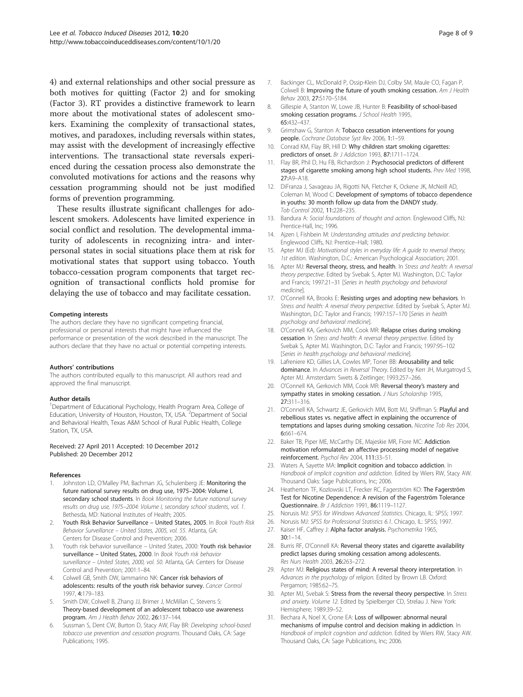<span id="page-7-0"></span>4) and external relationships and other social pressure as both motives for quitting (Factor 2) and for smoking (Factor 3). RT provides a distinctive framework to learn more about the motivational states of adolescent smokers. Examining the complexity of transactional states, motives, and paradoxes, including reversals within states, may assist with the development of increasingly effective interventions. The transactional state reversals experienced during the cessation process also demonstrate the convoluted motivations for actions and the reasons why cessation programming should not be just modified forms of prevention programming.

These results illustrate significant challenges for adolescent smokers. Adolescents have limited experience in social conflict and resolution. The developmental immaturity of adolescents in recognizing intra- and interpersonal states in social situations place them at risk for motivational states that support using tobacco. Youth tobacco-cessation program components that target recognition of transactional conflicts hold promise for delaying the use of tobacco and may facilitate cessation.

#### Competing interests

The authors declare they have no significant competing financial, professional or personal interests that might have influenced the performance or presentation of the work described in the manuscript. The authors declare that they have no actual or potential competing interests.

#### Authors' contributions

The authors contributed equally to this manuscript. All authors read and approved the final manuscript.

#### Author details

<sup>1</sup>Department of Educational Psychology, Health Program Area, College of Education, University of Houston, Houston, TX, USA. <sup>2</sup>Department of Social and Behavioral Health, Texas A&M School of Rural Public Health, College Station, TX, USA.

#### Received: 27 April 2011 Accepted: 10 December 2012 Published: 20 December 2012

#### References

- 1. Johnston LD, O'Malley PM, Bachman JG, Schulenberg JE: Monitoring the future national survey results on drug use, 1975–2004: Volume I, secondary school students. In Book Monitoring the future national survey results on drug use, 1975–2004: Volume I, secondary school students, vol. 1. Bethesda, MD: National Institutes of Health; 2005.
- 2. Youth Risk Behavior Surveillance United States, 2005. In Book Youth Risk Behavior Surveillance – United States, 2005, vol. 55. Atlanta, GA: Centers for Disease Control and Prevention; 2006.
- Youth risk behavior surveillance United States, 2000: Youth risk behavior surveillance - United States, 2000. In Book Youth risk behavior surveillance – United States, 2000, vol. 50. Atlanta, GA: Centers for Disease Control and Prevention; 2001:1–84.
- 4. Colwell GB, Smith DW, Iammarino NK: Cancer risk behaviors of adolescents: results of the youth risk behavior survey. Cancer Control 1997, 4:179–183.
- 5. Smith DW, Colwell B, Zhang JJ, Brimer J, McMillan C, Stevens S: Theory-based development of an adolescent tobacco use awareness program. Am J Health Behav 2002, 26:137–144.
- Sussman S, Dent CW, Burton D, Stacy AW, Flay BR: Developing school-based tobacco use prevention and cessation programs. Thousand Oaks, CA: Sage Publications; 1995.
- 7. Backinger CL, McDonald P, Ossip-Klein DJ, Colby SM, Maule CO, Fagan P, Colwell B: Improving the future of youth smoking cessation. Am J Health Behav 2003, 27:S170–S184.
- 8. Gillespie A, Stanton W, Lowe JB, Hunter B: Feasibility of school-based smoking cessation programs. J School Health 1995, 65:432–437.
- 9. Grimshaw G, Stanton A: Tobacco cessation interventions for young people. Cochrane Database Syst Rev 2006, 1:1–59.
- 10. Conrad KM, Flay BR, Hill D: Why children start smoking cigarettes: predictors of onset. Br J Addiction 1993, 87:1711–1724.
- 11. Flay BR, Phil D, Hu FB, Richardson J: Psychosocial predictors of different stages of cigarette smoking among high school students. Prev Med 1998, 27:A9–A18.
- 12. DiFranza J, Savageau JA, Rigotti NA, Fletcher K, Ockene JK, McNeill AD, Coleman M, Wood C: Development of symptoms of tobacco dependence in youths: 30 month follow up data from the DANDY study. Tob Control 2002, 11:228–235.
- 13. Bandura A: Social foundations of thought and action. Englewood Cliffs, NJ: Prentice-Hall, Inc; 1996.
- 14. Ajzen I, Fishbein M: Understanding attitudes and predicting behavior. Englewood Cliffs, NJ: Prentice–Hall; 1980.
- 15. Apter MJ (Ed): Motivational styles in everyday life: A guide to reversal theory, 1st edition. Washington, D.C.: American Psychological Association; 2001.
- 16. Apter MJ: Reversal theory, stress, and health. In Stress and health: A reversal theory perspective. Edited by Svebak S, Apter MJ. Washington, D.C: Taylor and Francis; 1997:21–31 [Series in health psychology and behavioral medicine].
- 17. O'Connell KA, Brooks E: Resisting urges and adopting new behaviors. In Stress and health: A reversal theory perspective. Edited by Svebak S, Apter MJ. Washington, D.C: Taylor and Francis; 1997:157–170 [Series in health psychology and behavioral medicine].
- 18. O'Connell KA, Gerkovich MM, Cook MR: Relapse crises during smoking cessation. In Stress and health: A reversal theory perspective. Edited by Svebak S, Apter MJ. Washington, D.C: Taylor and Francis; 1997:95–102 [Series in health psychology and behavioral medicine].
- 19. Lafreniere KD, Gillies LA, Cowles MP, Toner BB: Arousability and telic dominance. In Advances in Reversal Theory. Edited by Kerr JH, Murgatroyd S, Apter MJ. Amsterdam: Swets & Zeitlinger; 1993:257–266.
- 20. O'Connell KA, Gerkovich MM, Cook MR: Reversal theory's mastery and sympathy states in smoking cessation. J Nurs Scholarship 1995, 27:311–316.
- 21. O'Connell KA, Schwartz JE, Gerkovich MM, Bott MJ, Shiffman S: Playful and rebellious states vs. negative affect in explaining the occurrence of temptations and lapses during smoking cessation. Nicotine Tob Res 2004, 6:661–674.
- 22. Baker TB, Piper ME, McCarthy DE, Majeskie MR, Fiore MC: Addiction motivation reformulated: an affective processing model of negative reinforcement. Psychol Rev 2004, 111:33–51.
- 23. Waters A, Sayette MA: Implicit cognition and tobacco addiction. In Handbook of implicit cognition and addiction. Edited by Wiers RW, Stacy AW. Thousand Oaks: Sage Publications, Inc; 2006.
- 24. Heatherton TF, Kozlowski LT, Frecker RC, Fagerström KO: The Fagerström Test for Nicotine Dependence: A revision of the Fagerström Tolerance Questionnaire. Br J Addiction 1991, 86:1119–1127.
- 25. Norusis MJ: SPSS for Windows Advanced Statistics. Chicago, IL: SPSS; 1997.
- 26. Norusis MJ: SPSS for Professional Statistics 6.1. Chicago, IL: SPSS; 1997.
- 27. Kaiser HF, Caffrey J: Alpha factor analysis. Psychometrika 1965,  $30.1 - 14$
- 28. Burris RF, O'Connell KA: Reversal theory states and cigarette availability predict lapses during smoking cessation among adolescents. Res Nurs Health 2003, 26:263–272.
- 29. Apter MJ: Religious states of mind: A reversal theory interpretation. In Advances in the psychology of religion. Edited by Brown LB. Oxford: Pergamon; 1985:62–75.
- 30. Apter MJ, Svebak S: Stress from the reversal theory perspective. In Stress and anxiety. Volume 12. Edited by Spielberger CD, Strelau J. New York: Hemisphere; 1989:39–52.
- 31. Bechara A, Noel X, Crone EA: Loss of willpower: abnormal neural mechanisms of impulse control and decision making in addiction. In Handbook of implicit cognition and addiction. Edited by Wiers RW, Stacy AW. Thousand Oaks, CA: Sage Publications, Inc; 2006.